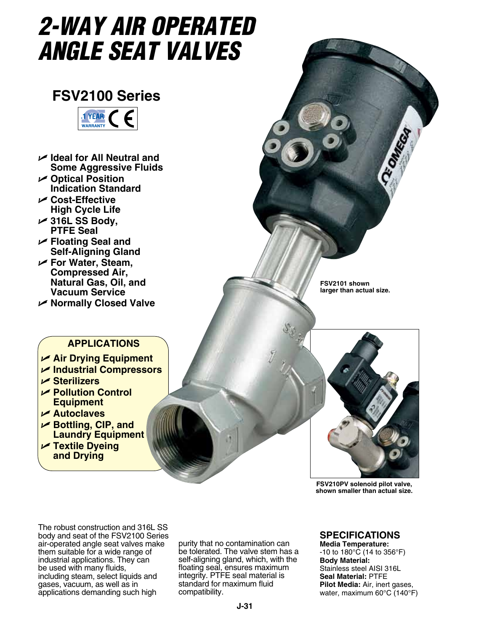# *2-WAY AIR OPERATED ANGLE SEAT VALVEs*

## **FSV2100 Series**



- U **Ideal for All Neutral and Some Aggressive Fluids**
- U **Optical Position Indication Standard**
- U **Cost-Effective High Cycle Life**
- U **316L SS Body, PTFE Seal**
- U **Floating Seal and Self-Aligning Gland**
- U **For Water, Steam, Compressed Air, Natural Gas, Oil, and Vacuum Service**
- U **Normally Closed Valve**

**FSV2101 shown larger than actual size.**

Ce Onnecan

### **APPLICATIONS**

- U **Air Drying Equipment**
- U **Industrial Compressors**
- U **Sterilizers**
- U **Pollution Control Equipment**
- U **Autoclaves**
- U **Bottling, CIP, and Laundry Equipment**
- U **Textile Dyeing and Drying**



**FSV210PV solenoid pilot valve, shown smaller than actual size.**

The robust construction and 316L SS body and seat of the FSV2100 Series air-operated angle seat valves make them suitable for a wide range of industrial applications. They can be used with many fluids, including steam, select liquids and gases, vacuum, as well as in applications demanding such high

purity that no contamination can be tolerated. The valve stem has a self-aligning gland, which, with the floating seal, ensures maximum integrity. PTFE seal material is standard for maximum fluid compatibility.

#### **Specifications**

**Media Temperature:**  -10 to 180°C (14 to 356°F) **Body Material:**  Stainless steel AISI 316L **Seal Material:** PTFE **Pilot Media:** Air, inert gases, water, maximum 60°C (140°F)